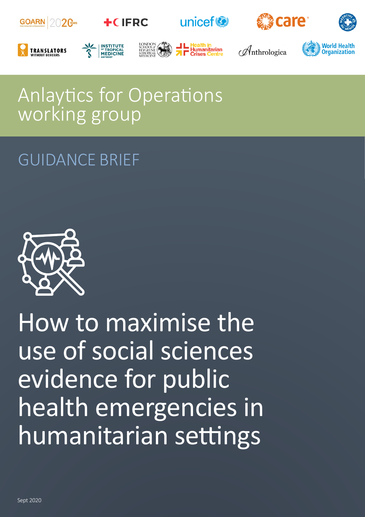

# Anlaytics for Operations working group

## GUIDANCE BRIEF



How to maximise the use of social sciences evidence for public health emergencies in humanitarian settings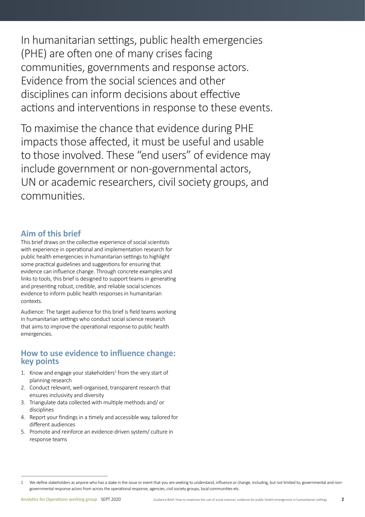In humanitarian settings, public health emergencies (PHE) are often one of many crises facing communities, governments and response actors. Evidence from the social sciences and other disciplines can inform decisions about effective actions and interventions in response to these events.

To maximise the chance that evidence during PHE impacts those affected, it must be useful and usable to those involved. These "end users" of evidence may include government or non-governmental actors, UN or academic researchers, civil society groups, and communities.

### **Aim of this brief**

This brief draws on the collective experience of social scientists with experience in operational and implementation research for public health emergencies in humanitarian settings to highlight some practical guidelines and suggestions for ensuring that evidence can influence change. Through concrete examples and links to tools, this brief is designed to support teams in generating and presenting robust, credible, and reliable social sciences evidence to inform public health responses in humanitarian contexts.

Audience: The target audience for this brief is field teams working in humanitarian settings who conduct social science research that aims to improve the operational response to public health emergencies.

### **How to use evidence to influence change: key points**

- 1. Know and engage your stakeholders $1$  from the very start of planning research
- 2. Conduct relevant, well-organised, transparent research that ensures inclusivity and diversity
- 3. Triangulate data collected with multiple methods and/ or disciplines
- 4. Report your findings in a timely and accessible way, tailored for different audiences
- 5. Promote and reinforce an evidence-driven system/ culture in response teams

<sup>1</sup> We define stakeholders as anyone who has a stake in the issue or event that you are seeking to understand, influence or change, including, but not limited to, governmental and nongovernmental response actors from across the operational response, agencies, civil society groups, local communities etc.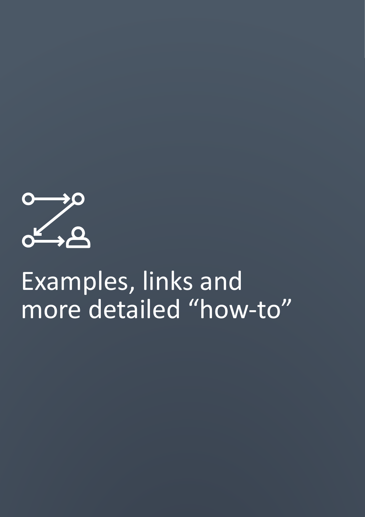

# Examples, links and more detailed "how-to"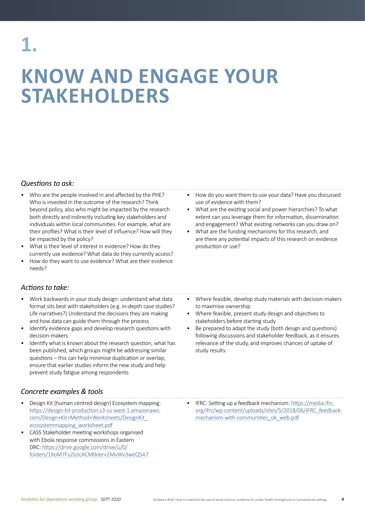# **KNOW AND ENGAGE YOUR STAKEHOLDERS**

#### *Questions to ask:*

- Who are the people involved in and affected by the PHE? Who is invested in the outcome of the research? Think beyond policy, also who might be impacted by the research both directly and indirectly including key stakeholders and individuals within local communities. For example, what are their profiles? What is their level of influence? How will they be impacted by the policy?
- What is their level of interest in evidence? How do they currently use evidence? What data do they currently access?
- How do they want to use evidence? What are their evidence needs?

#### *Actions to take:*

- Work backwards in your study design: understand what data format sits best with stakeholders (e.g. in-depth case studies? Life narratives?) Understand the decisions they are making and how data can guide them through the process
- Identify evidence gaps and develop research questions with decision-makers
- Identify what is known about the research question, what has been published, which groups might be addressing similar questions – this can help minimise duplication or overlap, ensure that earlier studies inform the new study and help prevent study fatigue among respondents

### *Concrete examples & tools*

- Design Kit (human centred design) Ecosystem mapping: [https://design-kit-production.s3-us-west-1.amazonaws.](https://design-kit-production.s3-us-west-1.amazonaws.com/Design+Kit+Method+Worksheets/DesignKit_ecosystemmapping_worksheet.pdf) [com/Design+Kit+Method+Worksheets/DesignKit\\_](https://design-kit-production.s3-us-west-1.amazonaws.com/Design+Kit+Method+Worksheets/DesignKit_ecosystemmapping_worksheet.pdf) [ecosystemmapping\\_worksheet.pdf](https://design-kit-production.s3-us-west-1.amazonaws.com/Design+Kit+Method+Worksheets/DesignKit_ecosystemmapping_worksheet.pdf)
- CASS Stakeholder meeting workshops organised with Ebola response commissions in Eastern DRC: [https://drive.google.com/drive/u/0/](https://drive.google.com/drive/u/0/folders/1XoM7FuJSzIcACMtkIerv2MvWv3weQ5A7) [folders/1XoM7FuJSzIcACMtkIerv2MvWv3weQ5A7](https://drive.google.com/drive/u/0/folders/1XoM7FuJSzIcACMtkIerv2MvWv3weQ5A7)
- How do you want them to use your data? Have you discussed use of evidence with them?
- What are the existing social and power hierarchies? To what extent can you leverage them for information, dissemination and engagement? What existing networks can you draw on?
- What are the funding mechanisms for this research, and are there any potential impacts of this research on evidence production or use?
- Where feasible, develop study materials with decision-makers to maximise ownership
- Where feasible, present study design and objectives to stakeholders before starting study
- Be prepared to adapt the study (both design and questions) following discussions and stakeholder feedback, as it ensures relevance of the study, and improves chances of uptake of study results
- IFRC: Setting up a feedback mechanism: [https://media.ifrc.](https://media.ifrc.org/ifrc/wp-content/uploads/sites/5/2018/06/IFRC_feedback-mechanism-with-communities_ok_web.pdf) [org/ifrc/wp-content/uploads/sites/5/2018/06/IFRC\\_feedback](https://media.ifrc.org/ifrc/wp-content/uploads/sites/5/2018/06/IFRC_feedback-mechanism-with-communities_ok_web.pdf)mechanism-with-communities ok web.pdf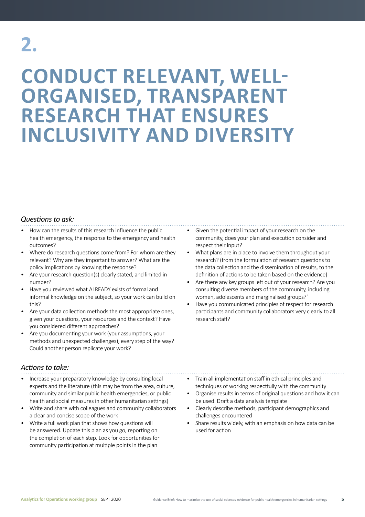# **2.**

## **CONDUCT RELEVANT, WELL-ORGANISED, TRANSPARENT RESEARCH THAT ENSURES INCLUSIVITY AND DIVERSITY**

### *Questions to ask:*

- How can the results of this research influence the public health emergency, the response to the emergency and health outcomes?
- Where do research questions come from? For whom are they relevant? Why are they important to answer? What are the policy implications by knowing the response?
- Are your research question(s) clearly stated, and limited in number?
- Have you reviewed what ALREADY exists of formal and informal knowledge on the subject, so your work can build on this?
- Are your data collection methods the most appropriate ones, given your questions, your resources and the context? Have you considered different approaches?
- Are you documenting your work (your assumptions, your methods and unexpected challenges), every step of the way? Could another person replicate your work?
- Given the potential impact of your research on the community, does your plan and execution consider and respect their input?
- What plans are in place to involve them throughout your research? (from the formulation of research questions to the data collection and the dissemination of results, to the definition of actions to be taken based on the evidence)
- Are there any key groups left out of your research? Are you consulting diverse members of the community, including women, adolescents and marginalised groups?'
- Have you communicated principles of respect for research participants and community collaborators very clearly to all research staff?

### *Actions to take:*

- Increase your preparatory knowledge by consulting local experts and the literature (this may be from the area, culture, community and similar public health emergencies, or public health and social measures in other humanitarian settings)
- Write and share with colleagues and community collaborators a clear and concise scope of the work
- Write a full work plan that shows how questions will be answered. Update this plan as you go, reporting on the completion of each step. Look for opportunities for community participation at multiple points in the plan
- Train all implementation staff in ethical principles and techniques of working respectfully with the community
- Organise results in terms of original questions and how it can be used. Draft a data analysis template
- Clearly describe methods, participant demographics and challenges encountered
- Share results widely, with an emphasis on how data can be used for action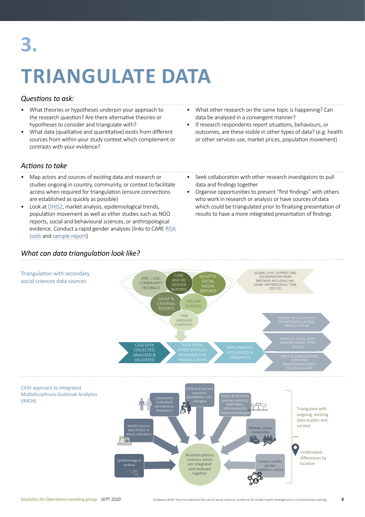# **3.**

# **TRIANGULATE DATA**

### *Questions to ask:*

- What theories or hypotheses underpin your approach to the research question? Are there alternative theories or hypotheses to consider and triangulate with?
- What data (qualitative and quantitative) exists from different sources from within your study context which complement or contrasts with your evidence?
- What other research on the same topic is happening? Can data be analysed in a convergent manner?
- If research respondents report situations, behaviours, or outcomes, are these visible in other types of data? (e.g. health or other services use, market prices, population movement)

### *Actions to take*

- Map actors and sources of existing data and research or studies ongoing in country, community, or context to facilitate access when required for triangulation (ensure connections are established as quickly as possible)
- Look at [DHIS2,](https://www.dhis2.org/) market analysis, epidemiological trends, population movement as well as other studies such as NGO reports, social and behavioural sciences, or anthropological evidence. Conduct a rapid gender analyses (links to CARE [RGA](https://insights.careinternational.org.uk/in-practice/rapid-gender-analysis)  [tools](https://insights.careinternational.org.uk/in-practice/rapid-gender-analysis) and [sample report\)](https://reliefweb.int/report/democratic-republic-congo/gender-analysis-prevention-and-response-ebola-virus-disease)
- Seek collaboration with other research investigators to pull data and findings together
- Organise opportunities to present "first findings" with others who work in research or analysis or have sources of data which could be triangulated prior to finalising presentation of results to have a more integrated presentation of findings

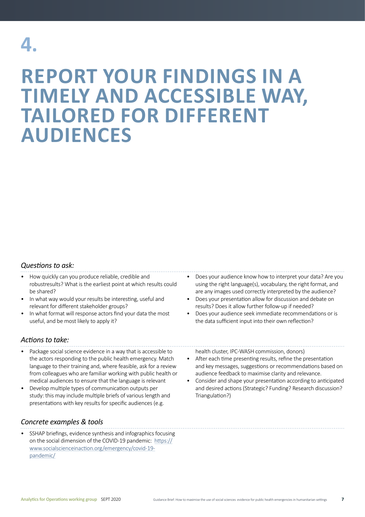## **4.**

## **REPORT YOUR FINDINGS IN A TIMELY AND ACCESSIBLE WAY, TAILORED FOR DIFFERENT AUDIENCES**

### *Questions to ask:*

- How quickly can you produce reliable, credible and robustresults? What is the earliest point at which results could be shared?
- In what way would your results be interesting, useful and relevant for different stakeholder groups?
- In what format will response actors find your data the most useful, and be most likely to apply it?
- *Actions to take:*
- Package social science evidence in a way that is accessible to the actors responding to the public health emergency. Match language to their training and, where feasible, ask for a review from colleagues who are familiar working with public health or medical audiences to ensure that the language is relevant
- Develop multiple types of communication outputs per study: this may include multiple briefs of various length and presentations with key results for specific audiences (e.g.

### *Concrete examples & tools*

• SSHAP briefings, evidence synthesis and infographics focusing on the social dimension of the COVID-19 pandemic: [https://](https://www.socialscienceinaction.org/emergency/covid-19-pandemic/) [www.socialscienceinaction.org/emergency/covid-19](https://www.socialscienceinaction.org/emergency/covid-19-pandemic/) [pandemic/](https://www.socialscienceinaction.org/emergency/covid-19-pandemic/)

- Does your audience know how to interpret your data? Are you using the right language(s), vocabulary, the right format, and are any images used correctly interpreted by the audience?
- Does your presentation allow for discussion and debate on results? Does it allow further follow-up if needed?
- Does your audience seek immediate recommendations or is the data sufficient input into their own reflection?

health cluster, IPC-WASH commission, donors)

- After each time presenting results, refine the presentation and key messages, suggestions or recommendations based on audience feedback to maximise clarity and relevance.
- Consider and shape your presentation according to anticipated and desired actions (Strategic? Funding? Research discussion? Triangulation?)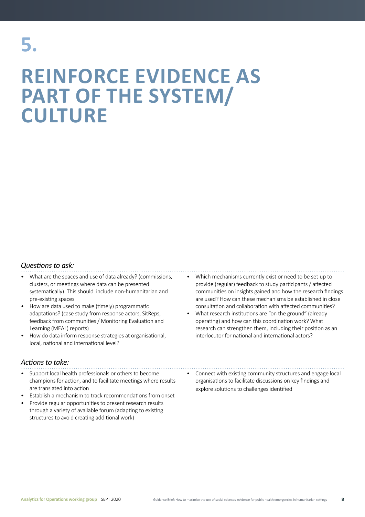## **REINFORCE EVIDENCE AS PART OF THE SYSTEM/ CULTURE**

### *Questions to ask:*

- What are the spaces and use of data already? (commissions, clusters, or meetings where data can be presented systematically). This should include non-humanitarian and pre-existing spaces
- How are data used to make (timely) programmatic adaptations? (case study from response actors, SitReps, feedback from communities / Monitoring Evaluation and Learning (MEAL) reports)
- How do data inform response strategies at organisational, local, national and international level?

#### *Actions to take:*

- Support local health professionals or others to become champions for action, and to facilitate meetings where results are translated into action
- Establish a mechanism to track recommendations from onset
- Provide regular opportunities to present research results through a variety of available forum (adapting to existing structures to avoid creating additional work)
- Which mechanisms currently exist or need to be set-up to provide (regular) feedback to study participants / affected communities on insights gained and how the research findings are used? How can these mechanisms be established in close consultation and collaboration with affected communities?
- What research institutions are "on the ground" (already operating) and how can this coordination work? What research can strengthen them, including their position as an interlocutor for national and international actors?

• Connect with existing community structures and engage local organisations to facilitate discussions on key findings and explore solutions to challenges identified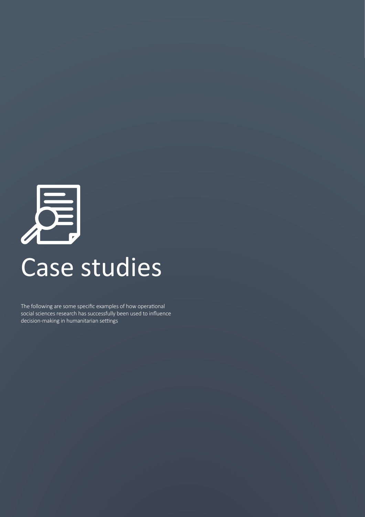

The following are some specific examples of how operational social sciences research has successfully been used to influence decision-making in humanitarian settings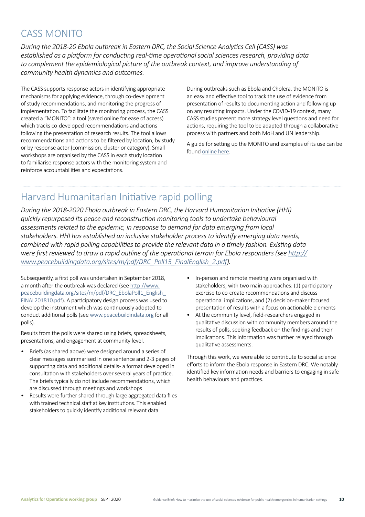### CASS MONITO

*During the 2018-20 Ebola outbreak in Eastern DRC, the Social Science Analytics Cell (CASS) was established as a platform for conducting real-time operational social sciences research, providing data to complement the epidemiological picture of the outbreak context, and improve understanding of community health dynamics and outcomes.* 

The CASS supports response actors in identifying appropriate mechanisms for applying evidence, through co-development of study recommendations, and monitoring the progress of implementation. To facilitate the monitoring process, the CASS created a "MONITO": a tool (saved online for ease of access) which tracks co-developed recommendations and actions following the presentation of research results. The tool allows recommendations and actions to be filtered by location, by study or by response actor (commission, cluster or category). Small workshops are organised by the CASS in each study location to familiarise response actors with the monitoring system and reinforce accountabilities and expectations.

During outbreaks such as Ebola and Cholera, the MONITO is an easy and effective tool to track the use of evidence from presentation of results to documenting action and following up on any resulting impacts. Under the COVID-19 context, many CASS studies present more strategy level questions and need for actions, requiring the tool to be adapted through a collaborative process with partners and both MoH and UN leadership.

A guide for setting up the MONITO and examples of its use can be found [online here.](https://drive.google.com/drive/u/2/folders/1A2DNt3m3rY1reZNZ1GvtYUozWZhbQxf_)

### Harvard Humanitarian Initiative rapid polling

*During the 2018-2020 Ebola outbreak in Eastern DRC, the Harvard Humanitarian Initiative (HHI) quickly repurposed its peace and reconstruction monitoring tools to undertake behavioural assessments related to the epidemic, in response to demand for data emerging from local stakeholders. HHI has established an inclusive stakeholder process to identify emerging data needs, combined with rapid polling capabilities to provide the relevant data in a timely fashion. Existing data were first reviewed to draw a rapid outline of the operational terrain for Ebola responders (see [http://](http://www.peacebuildingdata.org/sites/m/pdf/DRC_Poll15_FinalEnglish_2.pdf) [www.peacebuildingdata.org/sites/m/pdf/DRC\\_Poll15\\_FinalEnglish\\_2.pdf](http://www.peacebuildingdata.org/sites/m/pdf/DRC_Poll15_FinalEnglish_2.pdf)).*

Subsequently, a first poll was undertaken in September 2018, a month after the outbreak was declared (see [http://www.](http://www.peacebuildingdata.org/sites/m/pdf/DRC_EbolaPoll1_English_FINAL201810.pdf) [peacebuildingdata.org/sites/m/pdf/DRC\\_EbolaPoll1\\_English\\_](http://www.peacebuildingdata.org/sites/m/pdf/DRC_EbolaPoll1_English_FINAL201810.pdf) [FINAL201810.pdf](http://www.peacebuildingdata.org/sites/m/pdf/DRC_EbolaPoll1_English_FINAL201810.pdf)). A participatory design process was used to develop the instrument which was continuously adopted to conduct additional polls (see [www.peacebuildindata.org](http://www.peacebuildindata.org) for all polls).

Results from the polls were shared using briefs, spreadsheets, presentations, and engagement at community level.

- Briefs (as shared above) were designed around a series of clear messages summarised in one sentence and 2-3 pages of supporting data and additional details- a format developed in consultation with stakeholders over several years of practice. The briefs typically do not include recommendations, which are discussed through meetings and workshops
- Results were further shared through large aggregated data files with trained technical staff at key institutions. This enabled stakeholders to quickly identify additional relevant data
- In-person and remote meeting were organised with stakeholders, with two main approaches: (1) participatory exercise to co-create recommendations and discuss operational implications, and (2) decision-maker focused presentation of results with a focus on actionable elements
- At the community level, field-researchers engaged in qualitative discussion with community members around the results of polls, seeking feedback on the findings and their implications. This information was further relayed through qualitative assessments.

Through this work, we were able to contribute to social science efforts to inform the Ebola response in Eastern DRC. We notably identified key information needs and barriers to engaging in safe health behaviours and practices.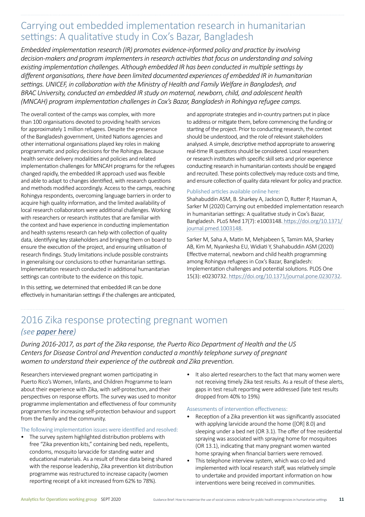### Carrying out embedded implementation research in humanitarian settings: A qualitative study in Cox's Bazar, Bangladesh

*Embedded implementation research (IR) promotes evidence-informed policy and practice by involving decision-makers and program implementers in research activities that focus on understanding and solving existing implementation challenges. Although embedded IR has been conducted in multiple settings by different organisations, there have been limited documented experiences of embedded IR in humanitarian settings. UNICEF, in collaboration with the Ministry of Health and Family Welfare in Bangladesh, and BRAC University, conducted an embedded IR study on maternal, newborn, child, and adolescent health (MNCAH) program implementation challenges in Cox's Bazar, Bangladesh in Rohingya refugee camps.*

The overall context of the camps was complex, with more than 100 organisations devoted to providing health services for approximately 1 million refugees. Despite the presence of the Bangladesh government, United Nations agencies and other international organisations played key roles in making programmatic and policy decisions for the Rohingya. Because health service delivery modalities and policies and related implementation challenges for MNCAH programs for the refugees changed rapidly, the embedded IR approach used was flexible and able to adapt to changes identified, with research questions and methods modified accordingly. Access to the camps, reaching Rohingya respondents, overcoming language barriers in order to acquire high quality information, and the limited availability of local research collaborators were additional challenges. Working with researchers or research institutes that are familiar with the context and have experience in conducting implementation and health systems research can help with collection of quality data, identifying key stakeholders and bringing them on board to ensure the execution of the project, and ensuring utilisation of research findings. Study limitations include possible constraints in generalising our conclusions to other humanitarian settings. Implementation research conducted in additional humanitarian settings can contribute to the evidence on this topic.

In this setting, we determined that embedded IR can be done effectively in humanitarian settings if the challenges are anticipated, and appropriate strategies and in-country partners put in place to address or mitigate them, before commencing the funding or starting of the project. Prior to conducting research, the context should be understood, and the role of relevant stakeholders analysed. A simple, descriptive method appropriate to answering real-time IR questions should be considered. Local researchers or research institutes with specific skill sets and prior experience conducting research in humanitarian contexts should be engaged and recruited. These points collectively may reduce costs and time, and ensure collection of quality data relevant for policy and practice.

#### Published articles available online here:

Shahabuddin ASM, B. Sharkey A, Jackson D, Rutter P, Hasman A, Sarker M (2020) Carrying out embedded implementation research in humanitarian settings: A qualitative study in Cox's Bazar, Bangladesh. PLoS Med 17(7): e1003148[. https://doi.org/10.1371/](https://doi.org/10.1371/journal.pmed.1003148) [journal.pmed.1003148.](https://doi.org/10.1371/journal.pmed.1003148)

Sarker M, Saha A, Matin M, Mehjabeen S, Tamim MA, Sharkey AB, Kim M, Nyankesha EU, Widiati Y, Shahabuddin ASM (2020) Effective maternal, newborn and child health programming among Rohingya refugees in Cox's Bazar, Bangladesh: Implementation challenges and potential solutions. PLOS One 15(3): e0230732[. https://doi.org/10.1371/journal.pone.0230732](https://doi.org/10.1371/journal.pone.0230732).

### 2016 Zika response protecting pregnant women *(see [paper here](https://wwwnc.cdc.gov/eid/article/24/12/18-1056_article))*

*During 2016-2017, as part of the Zika response, the Puerto Rico Department of Health and the US Centers for Disease Control and Prevention conducted a monthly telephone survey of pregnant women to understand their experience of the outbreak and Zika prevention.* 

Researchers interviewed pregnant women participating in Puerto Rico's Women, Infants, and Children Programme to learn about their experience with Zika, with self-protection, and their perspectives on response efforts. The survey was used to monitor programme implementation and effectiveness of four community programmes for increasing self-protection behaviour and support from the family and the community.

#### The following implementation issues were identified and resolved:

- The survey system highlighted distribution problems with free "Zika prevention kits," containing bed neds, repellents, condoms, mosquito larvacide for standing water and educational materials. As a result of these data being shared with the response leadership, Zika prevention kit distribution programme was restructured to increase capacity (women reporting receipt of a kit increased from 62% to 78%).
- It also alerted researchers to the fact that many women were not receiving timely Zika test results. As a result of these alerts, gaps in test result reporting were addressed (late test results dropped from 40% to 19%)

#### Assessments of intervention effectiveness:

- Reception of a Zika prevention kit was significantly associated with applying larvicide around the home ([OR] 8.0) and sleeping under a bed net (OR 3.1). The offer of free residential spraying was associated with spraying home for mosquitoes (OR 13.1), indicating that many pregnant women wanted home spraying when financial barriers were removed.
- This telephone interview system, which was co-led and implemented with local research staff, was relatively simple to undertake and provided important information on how interventions were being received in communities.